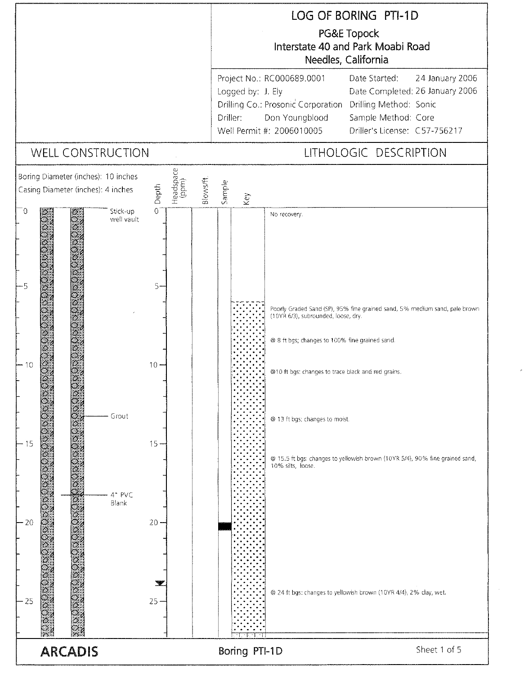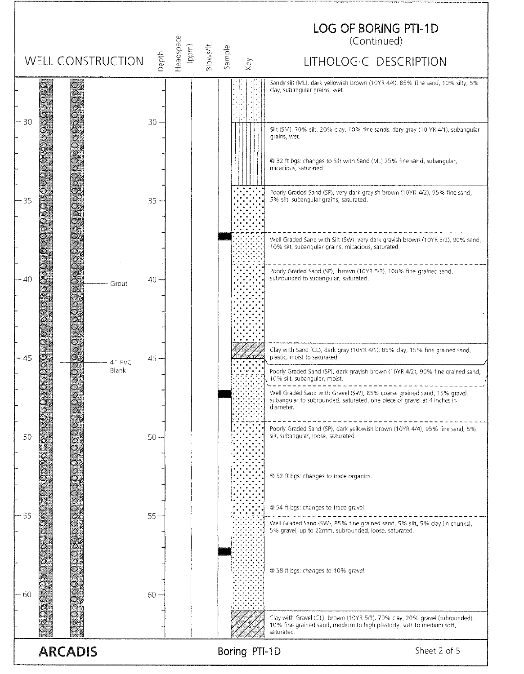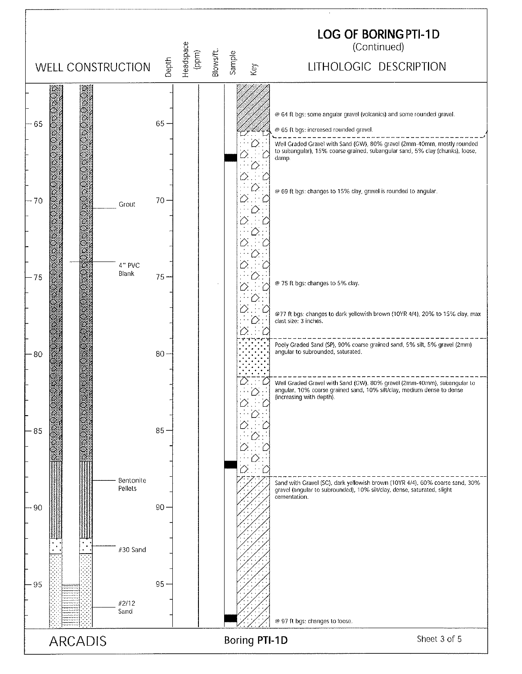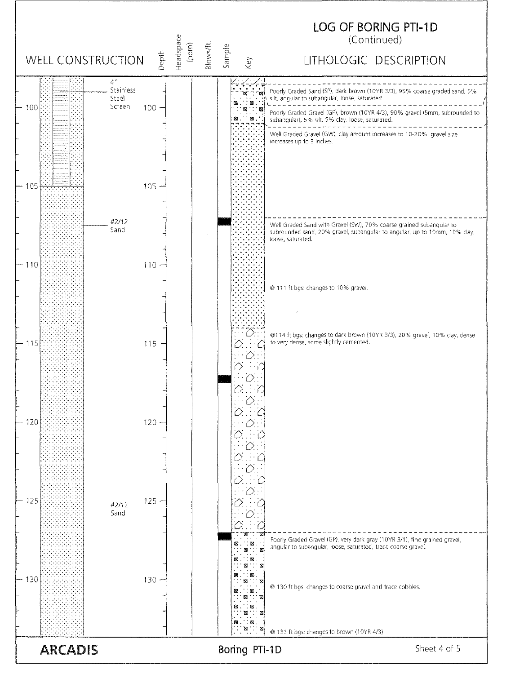